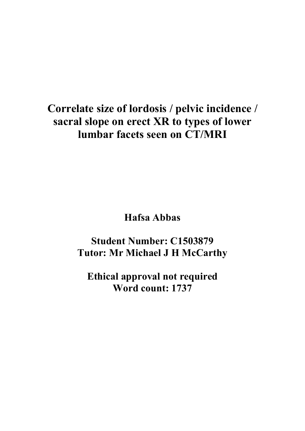# **Correlate size of lordosis / pelvic incidence / sacral slope on erect XR to types of lower lumbar facets seen on CT/MRI**

**Hafsa Abbas**

**Student Number: C1503879 Tutor: Mr Michael J H McCarthy**

**Ethical approval not required Word count: 1737**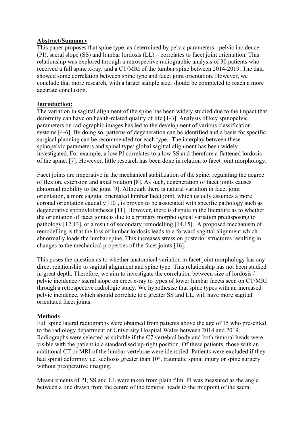#### **Abstract/Summary**

This paper proposes that spine type, as determined by pelvic parameters - pelvic incidence (PI), sacral slope (SS) and lumbar lordosis (LL) – correlates to facet joint orientation. This relationship was explored through a retrospective radiographic analysis of 30 patients who received a full spine x-ray, and a CT/MRI of the lumbar spine between 2014-2019. The data showed some correlation between spine type and facet joint orientation. However, we conclude that more research, with a larger sample size, should be completed to reach a more accurate conclusion.

#### **Introduction:**

The variation in sagittal alignment of the spine has been widely studied due to the impact that deformity can have on health-related quality of life [1-3]. Analysis of key spinopelvic parameters on radiographic images has led to the development of various classification systems [4-6]. By doing so, patterns of degeneration can be identified and a basis for specific surgical planning can be recommended for each type. The interplay between these spinopelvic parameters and spinal type/ global sagittal alignment has been widely investigated. For example, a low PI correlates to a low SS and therefore a flattened lordosis of the spine. [7]. However, little research has been done in relation to facet joint morphology.

Facet joints are imperative in the mechanical stabilization of the spine; regulating the degree of flexion, extension and axial rotation [8]. As such, degeneration of facet joints causes abnormal mobility to the joint [9]. Although there is natural variation in facet joint orientation, a more sagittal orientated lumbar facet joint, which usually assumes a more coronal orientation caudally [10], is proven to be associated with specific pathology such as degenerative spondylolistheses [11]. However, there is dispute in the literature as to whether the orientation of facet joints is due to a primary morphological variation predisposing to pathology [12,13], or a result of secondary remodelling [14,15]. A proposed mechanism of remodelling is that the loss of lumbar lordosis leads to a forward sagittal alignment which abnormally loads the lumbar spine. This increases stress on posterior structures resulting in changes to the mechanical properties of the facet joints [16].

This poses the question as to whether anatomical variation in facet joint morphology has any direct relationship to sagittal alignment and spine type. This relationship has not been studied in great depth. Therefore, we aim to investigate the correlation between size of lordosis / pelvic incidence / sacral slope on erect x-ray to types of lower lumbar facets seen on CT/MRI through a retrospective radiologic study. We hypothesise that spine types with an increased pelvic incidence, which should correlate to a greater SS and LL, will have more sagittal orientated facet joints.

#### **Methods**

Full spine lateral radiographs were obtained from patients above the age of 15 who presented to the radiology department of University Hospital Wales between 2014 and 2019. Radiographs were selected as suitable if the C7 vertebral body and both femoral heads were visible with the patient in a standardised up-right position. Of these patients, those with an additional CT or MRI of the lumbar vertebrae were identified. Patients were excluded if they had spinal deformity i.e. scoliosis greater than 10°, traumatic spinal injury or spine surgery without preoperative imaging.

Measurements of PI, SS and LL were taken from plain film. PI was measured as the angle between a line drawn from the centre of the femoral heads to the midpoint of the sacral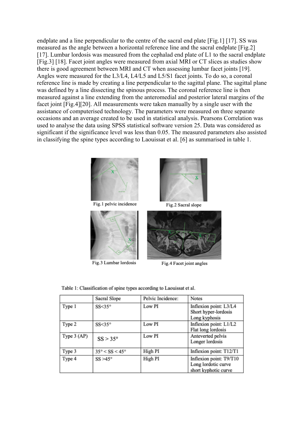endplate and a line perpendicular to the centre of the sacral end plate [Fig.1] [17]. SS was measured as the angle between a horizontal reference line and the sacral endplate [Fig.2] [17]. Lumbar lordosis was measured from the cephalad end plate of L1 to the sacral endplate [Fig.3] [18]. Facet joint angles were measured from axial MRI or CT slices as studies show there is good agreement between MRI and CT when assessing lumbar facet joints [19]. Angles were measured for the L3/L4, L4/L5 and L5/S1 facet joints. To do so, a coronal reference line is made by creating a line perpendicular to the sagittal plane. The sagittal plane was defined by a line dissecting the spinous process. The coronal reference line is then measured against a line extending from the anteromedial and posterior lateral margins of the facet joint [Fig.4][20]. All measurements were taken manually by a single user with the assistance of computerised technology. The parameters were measured on three separate occasions and an average created to be used in statistical analysis. Pearsons Correlation was used to analyse the data using SPSS statistical software version 25. Data was considered as significant if the significance level was less than 0.05. The measured parameters also assisted in classifying the spine types according to Laouissat et al. [6] as summarised in table 1.





Fig.2 Sacral slope



Fig.3 Lumbar lordosis



Fig.4 Facet joint angles

|               | Sacral Slope                    | Pelvic Incidence: | <b>Notes</b>                                                           |
|---------------|---------------------------------|-------------------|------------------------------------------------------------------------|
| Type 1        | $SS < 35^\circ$                 | Low PI            | Inflexion point: L3/L4<br>Short hyper-lordosis<br>Long kyphosis        |
| Type 2        | $SS < 35^\circ$                 | Low PI            | Inflexion point: L1/L2<br>Flat long lordosis                           |
| Type $3$ (AP) | $SS > 35^{\circ}$               | Low PI            | Anteverted pelvis<br>Longer lordosis                                   |
| Type 3        | $35^\circ <$ SS $<$ 45 $^\circ$ | High PI           | Inflexion point: T12/T1                                                |
| Type 4        | $SS > 45^\circ$                 | High PI           | Inflexion point: T9/T10<br>Long lordotic curve<br>short kyphotic curve |

Table 1: Classification of spine types according to Laouissat et al.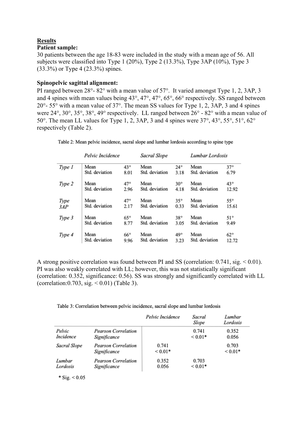## **Results**

#### **Patient sample:**

30 patients between the age 18-83 were included in the study with a mean age of 56. All subjects were classified into Type 1 (20%), Type 2 (13.3%), Type 3AP (10%), Type 3 (33.3%) or Type 4 (23.3%) spines.

#### **Spinopelvic sagittal alignment:**

PI ranged between 28°- 82° with a mean value of 57°. It varied amongst Type 1, 2, 3AP, 3 and 4 spines with mean values being 43°, 47°, 47°, 65°, 66° respectively. SS ranged between 20°- 55° with a mean value of 37°. The mean SS values for Type 1, 2, 3AP, 3 and 4 spines were 24°, 30°, 35°, 38°, 49° respectively. LL ranged between 26° - 82° with a mean value of 50°. The mean LL values for Type 1, 2, 3AP, 3 and 4 spines were 37°, 43°, 55°, 51°, 62° respectively (Table 2).

Table 2: Mean pelvic incidence, sacral slope and lumbar lordosis according to spine type

|        | Pelvic Incidence |              | Sacral Slope   |              | Lumbar Lordosis |              |  |
|--------|------------------|--------------|----------------|--------------|-----------------|--------------|--|
| Type 1 | Mean             | 43°          | Mean           | $24^{\circ}$ | Mean            | $37^\circ$   |  |
|        | Std. deviation   | 8.01         | Std. deviation | 3.18         | Std. deviation  | 6.79         |  |
| Type 2 | Mean             | 47°          | Mean           | $30^{\circ}$ | Mean            | $43^{\circ}$ |  |
|        | Std. deviation   | 2.96         | Std. deviation | 4.18         | Std. deviation  | 12.92        |  |
| Type   | Mean             | 47°          | Mean           | $35^\circ$   | Mean            | $55^\circ$   |  |
| 3AP    | Std. deviation   | 2.17         | Std. deviation | 0.33         | Std. deviation  | 15.61        |  |
| Type 3 | Mean             | $65^{\circ}$ | Mean           | $38^\circ$   | Mean            | $51^\circ$   |  |
|        | Std. deviation   | 8.77         | Std. deviation | 3.05         | Std. deviation  | 9.49         |  |
| Type 4 | Mean             | $66^{\circ}$ | Mean           | 49°          | Mean            | $62^{\circ}$ |  |
|        | Std. deviation   | 9.96         | Std. deviation | 3.23         | Std. deviation  | 12.72        |  |

A strong positive correlation was found between PI and SS (correlation: 0.741, sig. < 0.01). PI was also weakly correlated with LL; however, this was not statistically significant (correlation: 0.352, significance: 0.56). SS was strongly and significantly correlated with LL (correlation:  $0.703$ , sig.  $\leq 0.01$ ) (Table 3).

Table 3: Correlation between pelvic incidence, sacral slope and lumbar lordosis

|              |                                            | Pelvic Incidence      | Sacral<br>Slope | Lumbar<br>Lordosis |
|--------------|--------------------------------------------|-----------------------|-----------------|--------------------|
| Pelvic       | Pearson Correlation                        |                       | 0.741           | 0.352              |
| Incidence    | Significance                               |                       | ${}_{0.01*}$    | 0.056              |
| Sacral Slope | <b>Pearson Correlation</b><br>Significance | 0.741<br>${}_{0.01*}$ |                 | 0.703<br>$0.01*$   |
| Lumbar       | <b>Pearson Correlation</b>                 | 0.352                 | 0.703           |                    |
| Lordosis     | Significance                               | 0.056                 | ${}_{0.01*}$    |                    |

\* Sig.  $< 0.05$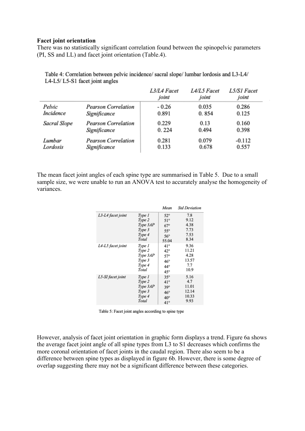#### **Facet joint orientation**

There was no statistically significant correlation found between the spinopelvic parameters (PI, SS and LL) and facet joint orientation (Table.4).

|              |                            | L3/L4 Facet<br>joint | L4/L5 Facet<br>joint | L5/S1 Facet<br>joint |
|--------------|----------------------------|----------------------|----------------------|----------------------|
| Pelvic       | <b>Pearson Correlation</b> | $-0.26$              | 0.035                | 0.286                |
| Incidence    | Significance               | 0.891                | 0.854                | 0.125                |
| Sacral Slope | <b>Pearson Correlation</b> | 0.229                | 0.13                 | 0.160                |
|              | Significance               | 0.224                | 0.494                | 0.398                |
| Lumbar       | <b>Pearson Correlation</b> | 0.281                | 0.079                | $-0.112$             |
| Lordosis     | Significance               | 0.133                | 0.678                | 0.557                |

Table 4: Correlation between pelvic incidence/sacral slope/lumbar lordosis and L3-L4/ L4-L5/L5-S1 facet joint angles

The mean facet joint angles of each spine type are summarised in Table 5. Due to a small sample size, we were unable to run an ANOVA test to accurately analyse the homogeneity of variances.

|                   |          | Mean         | <b>Std Deviation</b> |
|-------------------|----------|--------------|----------------------|
| L3-L4 facet joint | Type 1   | $52^\circ$   | 7.8                  |
|                   | Type 2   | $51^\circ$   | 9.12                 |
|                   | Type 3AP | $67^\circ$   | 4.38                 |
|                   | Type 3   | $55^\circ$   | 7.73                 |
|                   | Type 4   | $56^{\circ}$ | 7.53                 |
|                   | Total    | 55.04        | 8.34                 |
| L4-L5 facet joint | Type 1   | 41°          | 9.36                 |
|                   | Type 2   | $42^{\circ}$ | 11.21                |
|                   | Type 3AP | $57^\circ$   | 4.28                 |
|                   | Type 3   | $46^{\circ}$ | 13.57                |
|                   | Type 4   | 44°          | 7.7                  |
|                   | Total    | $45^{\circ}$ | 10.9                 |
| L5-SI facet joint | Type 1   | $35^\circ$   | 5.16                 |
|                   | Type 2   | $41^{\circ}$ | 4.7                  |
|                   | Type 3AP | $39^\circ$   | 11.01                |
|                   | Type 3   | $46^{\circ}$ | 12.14                |
|                   | Type 4   | $40^{\circ}$ | 10.33                |
|                   | Total    | $41^\circ$   | 9.93                 |

|  | Table 5: Facet joint angles according to spine type |  |  |  |  |
|--|-----------------------------------------------------|--|--|--|--|
|--|-----------------------------------------------------|--|--|--|--|

However, analysis of facet joint orientation in graphic form displays a trend. Figure 6a shows the average facet joint angle of all spine types from L3 to S1 decreases which confirms the more coronal orientation of facet joints in the caudal region. There also seem to be a difference between spine types as displayed in figure 6b. However, there is some degree of overlap suggesting there may not be a significant difference between these categories.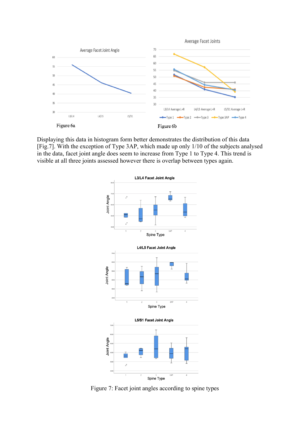

Displaying this data in histogram form better demonstrates the distribution of this data [Fig.7]. With the exception of Type 3AP, which made up only 1/10 of the subjects analysed in the data, facet joint angle does seem to increase from Type 1 to Type 4. This trend is visible at all three joints assessed however there is overlap between types again.



Figure 7: Facet joint angles according to spine types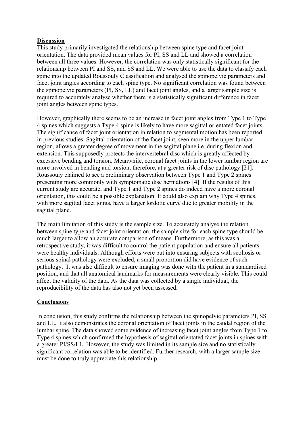#### **Discussion**

This study primarily investigated the relationship between spine type and facet joint orientation. The data provided mean values for PI, SS and LL and showed a correlation between all three values. However, the correlation was only statistically significant for the relationship between PI and SS, and SS and LL. We were able to use the data to classify each spine into the updated Roussouly Classification and analysed the spinopelvic parameters and facet joint angles according to each spine type. No significant correlation was found between the spinopelvic parameters (PI, SS, LL) and facet joint angles, and a larger sample size is required to accurately analyse whether there is a statistically significant difference in facet joint angles between spine types.

However, graphically there seems to be an increase in facet joint angles from Type 1 to Type 4 spines which suggests a Type 4 spine is likely to have more sagittal orientated facet joints. The significance of facet joint orientation in relation to segmental motion has been reported in previous studies. Sagittal orientation of the facet joint, seen more in the upper lumbar region, allows a greater degree of movement in the sagittal plane i.e. during flexion and extension. This supposedly protects the intervertebral disc which is greatly affected by excessive bending and torsion. Meanwhile, coronal facet joints in the lower lumbar region are more involved in bending and torsion; therefore, at a greater risk of disc pathology [21]. Roussouly claimed to see a preliminary observation between Type 1 and Type 2 spines presenting more commonly with symptomatic disc herniations [4]. If the results of this current study are accurate, and Type 1 and Type 2 spines do indeed have a more coronal orientation, this could be a possible explanation. It could also explain why Type 4 spines, with more sagittal facet joints, have a larger lordotic curve due to greater mobility in the sagittal plane.

The main limitation of this study is the sample size. To accurately analyse the relation between spine type and facet joint orientation, the sample size for each spine type should be much larger to allow an accurate comparison of means. Furthermore, as this was a retrospective study, it was difficult to control the patient population and ensure all patients were healthy individuals. Although efforts were put into ensuring subjects with scoliosis or serious spinal pathology were excluded, a small proportion did have evidence of such pathology. It was also difficult to ensure imaging was done with the patient in a standardised position, and that all anatomical landmarks for measurements were clearly visible. This could affect the validity of the data. As the data was collected by a single individual, the reproducibility of the data has also not yet been assessed.

#### **Conclusions**

In conclusion, this study confirms the relationship between the spinopelvic parameters PI, SS and LL. It also demonstrates the coronal orientation of facet joints in the caudal region of the lumbar spine. The data showed some evidence of increasing facet joint angles from Type 1 to Type 4 spines which confirmed the hypothesis of sagittal orientated facet joints in spines with a greater PI/SS/LL. However, the study was limited in its sample size and no statistically significant correlation was able to be identified. Further research, with a larger sample size must be done to truly appreciate this relationship.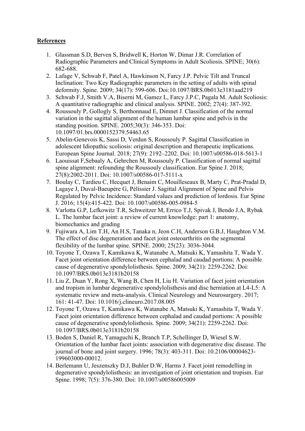### **References**

- 1. Glassman S.D, Berven S, Bridwell K, Horton W, Dimar J.R. Correlation of Radiographic Parameters and Clinical Symptoms in Adult Scoliosis. SPINE; 30(6): 682-688.
- 2. Lafage V, Schwab F, Patel A, Hawkinson N, Farcy J.P. Pelvic Tilt and Truncal Inclination: Two Key Radiographic parameters in the setting of adults with spinal deformity. Spine. 2009; 34(17): 599-606. Doi:10.1097/BRS.0b013e3181aad219
- 3. Schwab F.J, Smith V.A, Biserni M, Gamez L, Farcy J.P.C, Pagala M. Adult Scoliosis: A quantitative radiographic and clinical analysis. SPINE. 2002; 27(4): 387-392.
- 4. Roussouly P, Gollogly S, Berthonnaud E, Dimnet J. Classification of the normal variation in the sagittal alignment of the human lumbar spine and pelvis in the standing position. SPINE. 2005;30(3): 346-353. Doi: 10.1097/01.brs.0000152379.54463.65
- 5. Abelin-Genevois K, Sassi D, Verdun S, Roussouly P. Sagittal Classification in adolescent Idiopathic scoliosis: original description and therapeutic implications. European Spine Journal. 2018; 27(9): 2192–2202. Doi: 10.1007/s00586-018-5613-1
- 6. Laouissat F,Sebaaly A, Gehrchen M, Roussouly P. Classification of normal sagittal spine alignment: refounding the Roussouly classification. Eur Spine J. 2018; 27(8):2002-2011. Doi: 10.1007/s00586-017-5111-x
- 7. Boulay C, Tardieu C, Hecquet J, Benaim C, Mouilleseaux B, Marty C, Prat-Pradal D, Lagaye J, Duval-Baeupère G, Pélissier J. Sagittal Alignment of Spine and Pelvis Regulated by Pelvic Incidence: Standard values and prediction of lordosis. Eur Spine J. 2016; 15(4):415-422. Doi: 10.1007/s00586-005-0984-5
- 8. Varlotta G.P, Lefkowitz T.R, Schweitzer M, Errico T.J, Spivak J, Bendo J.A, Rybak L. The lumbar facet joint: a review of current knowledge: part 1: anatomy, biomechanics and grading
- 9. Fujiwara A, Lim T.H, An H.S, Tanaka n, Jeon C.H, Anderson G.B.J, Haughton V.M. The effect of disc degeneration and facet joint osteoarthritis on the segmental flexibility of the lumbar spine. SPINE. 2000; 25(23): 3036-3044.
- 10. Toyone T, Ozawa T, Kamikawa K, Watanabe A, Matsuki K, Yamashita T, Wada Y. Facet joint orientation difference between cephalad and caudad portions: A possible cause of degenerative spondylolisthesis. Spine. 2009; 34(21): 2259-2262. Doi: 10.1097/BRS.0b013e3181b20158
- 11. Liu Z, Duan Y, Rong X, Wang B, Chen H, Liu H. Variation of facet joint orientation and tropism in lumbar degenerative spondylolisthesis and disc herniation at L4-L5: A systematic review and meta-analysis. Clinical Neurology and Neurosurgery. 2017; 161: 41-47. Doi: 10.1016/j.clineuro.2017.08.005
- 12. Toyone T, Ozawa T, Kamikawa K, Watanabe A, Matsuki K, Yamashita T, Wada Y. Facet joint orientation difference between cephalad and caudad portions: A possible cause of degenerative spondylolisthesis. Spine. 2009; 34(21): 2259-2262. Doi: 10.1097/BRS.0b013e3181b20158
- 13. Boden S, Daniel R, Yamaguchi K, Branch T.P, Schellinger D, Wiesel S.W. Orientation of the lumbar facet joints: association with degenerative disc disease. The journal of bone and joint surgery. 1996; 78(3): 403-311. Doi: 10.2106/00004623- 199603000-00012.
- 14. Berlemann U, Jeszenszky D.J, Buhler D.W, Harms J. Facet joint remodelling in degenerative spondylolisthesis: an investigation of joint orientation and tropism. Eur Spine. 1998; 7(5): 376-380. Doi: 10.1007/s00586005009